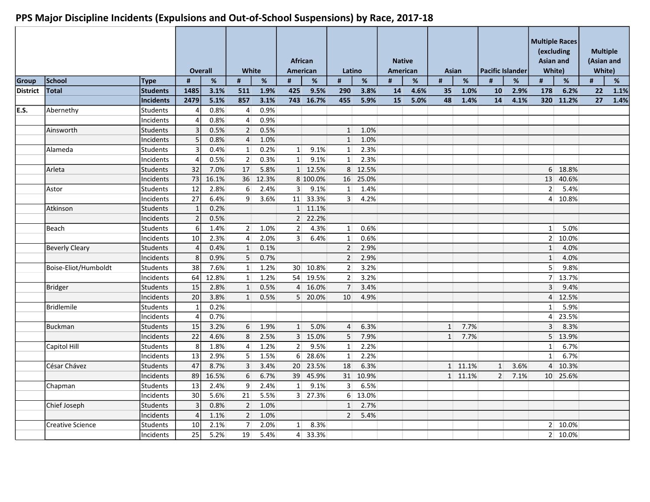|                 |                         |                 |                 | <b>Overall</b> | White            |       |                 | <b>African</b><br>American | Latino           |          | <b>Native</b><br>American |      |              | Asian   | <b>Pacific Islander</b> |      | <b>Asian and</b> | <b>Multiple Races</b><br><i>(excluding)</i><br>White) |    | <b>Multiple</b><br>(Asian and<br>White) |
|-----------------|-------------------------|-----------------|-----------------|----------------|------------------|-------|-----------------|----------------------------|------------------|----------|---------------------------|------|--------------|---------|-------------------------|------|------------------|-------------------------------------------------------|----|-----------------------------------------|
| <b>Group</b>    | School                  | <b>Type</b>     | #               | $\%$           | #                | $\%$  | #               | %                          | #                | %        | #                         | %    | #            | %       | #                       | %    | #                | %                                                     | #  | $\%$                                    |
| <b>District</b> | Total                   | <b>Students</b> | 1485            | 3.1%           | 511              | 1.9%  | 425             | 9.5%                       | 290              | 3.8%     | 14                        | 4.6% | 35           | 1.0%    | 10                      | 2.9% | 178              | 6.2%                                                  | 22 | 1.1%                                    |
|                 |                         | Incidents       | 2479            | 5.1%           | 857              | 3.1%  |                 | 743 16.7%                  | 455              | 5.9%     | 15                        | 5.0% | 48           | 1.4%    | 14                      | 4.1% |                  | 320 11.2%                                             | 27 | 1.4%                                    |
| E.S.            | Abernethy               | Students        | $\vert$         | 0.8%           | $\overline{4}$   | 0.9%  |                 |                            |                  |          |                           |      |              |         |                         |      |                  |                                                       |    |                                         |
|                 |                         | Incidents       |                 | 0.8%           | $\vert 4 \vert$  | 0.9%  |                 |                            |                  |          |                           |      |              |         |                         |      |                  |                                                       |    |                                         |
|                 | Ainsworth               | Students        | $\overline{3}$  | 0.5%           | $\overline{2}$   | 0.5%  |                 |                            | $\mathbf{1}$     | 1.0%     |                           |      |              |         |                         |      |                  |                                                       |    |                                         |
|                 |                         | Incidents       | 5 <sup>1</sup>  | 0.8%           | $\overline{4}$   | 1.0%  |                 |                            | $\mathbf{1}$     | 1.0%     |                           |      |              |         |                         |      |                  |                                                       |    |                                         |
|                 | Alameda                 | Students        | $\overline{3}$  | 0.4%           | 1                | 0.2%  | $1\vert$        | 9.1%                       | $\mathbf{1}$     | 2.3%     |                           |      |              |         |                         |      |                  |                                                       |    |                                         |
|                 |                         | Incidents       | $\vert$         | 0.5%           | 2                | 0.3%  | 1               | 9.1%                       | 1                | 2.3%     |                           |      |              |         |                         |      |                  |                                                       |    |                                         |
|                 | Arleta                  | <b>Students</b> | 32              | 7.0%           | 17               | 5.8%  |                 | 1 12.5%                    |                  | 8 12.5%  |                           |      |              |         |                         |      |                  | 6 18.8%                                               |    |                                         |
|                 |                         | Incidents       | 73              | 16.1%          | 36               | 12.3% |                 | 8 100.0%                   |                  | 16 25.0% |                           |      |              |         |                         |      | 13               | 40.6%                                                 |    |                                         |
|                 | Astor                   | <b>Students</b> | 12              | 2.8%           | $6 \overline{6}$ | 2.4%  | 3 <sup>1</sup>  | 9.1%                       | $1\vert$         | 1.4%     |                           |      |              |         |                         |      | 2 <sup>1</sup>   | 5.4%                                                  |    |                                         |
|                 |                         | Incidents       | 27              | 6.4%           | $\overline{9}$   | 3.6%  |                 | 11 33.3%                   | $\overline{3}$   | 4.2%     |                           |      |              |         |                         |      | $\vert 4 \vert$  | 10.8%                                                 |    |                                         |
|                 | Atkinson                | <b>Students</b> | $\mathbf{1}$    | 0.2%           |                  |       |                 | $1 \ 11.1\%$               |                  |          |                           |      |              |         |                         |      |                  |                                                       |    |                                         |
|                 |                         | Incidents       | $\overline{2}$  | 0.5%           |                  |       |                 | 2 22.2%                    |                  |          |                           |      |              |         |                         |      |                  |                                                       |    |                                         |
|                 | Beach                   | Students        | 6 <sup>1</sup>  | 1.4%           | 2 <sup>1</sup>   | 1.0%  | $\overline{2}$  | 4.3%                       | $1\vert$         | 0.6%     |                           |      |              |         |                         |      | $1\vert$         | 5.0%                                                  |    |                                         |
|                 |                         | Incidents       | 10 <sup>1</sup> | 2.3%           | $\overline{4}$   | 2.0%  | 3 <sup>1</sup>  | 6.4%                       | 1                | 0.6%     |                           |      |              |         |                         |      |                  | $2 \mid 10.0\%$                                       |    |                                         |
|                 | <b>Beverly Cleary</b>   | Students        | 4 <sup>1</sup>  | 0.4%           | $\vert$ 1        | 0.1%  |                 |                            | $\overline{2}$   | 2.9%     |                           |      |              |         |                         |      | 1                | 4.0%                                                  |    |                                         |
|                 |                         | Incidents       | 8 <sup>1</sup>  | 0.9%           | 5 <sup>1</sup>   | 0.7%  |                 |                            | $\overline{2}$   | 2.9%     |                           |      |              |         |                         |      | 1                | 4.0%                                                  |    |                                         |
|                 | Boise-Eliot/Humboldt    | Students        | 38              | 7.6%           | 1                | 1.2%  | 30 <sup>1</sup> | 10.8%                      | 2 <sup>1</sup>   | 3.2%     |                           |      |              |         |                         |      | 5 <sup>1</sup>   | 9.8%                                                  |    |                                         |
|                 |                         | Incidents       | 64              | 12.8%          | $1\vert$         | 1.2%  | 54              | 19.5%                      | $\overline{2}$   | 3.2%     |                           |      |              |         |                         |      |                  | 7 13.7%                                               |    |                                         |
|                 | Bridger                 | Students        | 15              | 2.8%           | $\mathbf{1}$     | 0.5%  |                 | 4 16.0%                    | $\overline{7}$   | 3.4%     |                           |      |              |         |                         |      | $\overline{3}$   | 9.4%                                                  |    |                                         |
|                 |                         | Incidents       | 20              | 3.8%           | $\mathbf{1}$     | 0.5%  |                 | 5 20.0%                    | 10               | 4.9%     |                           |      |              |         |                         |      |                  | 4 12.5%                                               |    |                                         |
|                 | Bridlemile              | <b>Students</b> | $\mathbf{1}$    | 0.2%           |                  |       |                 |                            |                  |          |                           |      |              |         |                         |      | $1\vert$         | 5.9%                                                  |    |                                         |
|                 |                         | Incidents       | 4               | 0.7%           |                  |       |                 |                            |                  |          |                           |      |              |         |                         |      | $\vert 4 \vert$  | 23.5%                                                 |    |                                         |
|                 | <b>Buckman</b>          | Students        | 15              | 3.2%           | $6 \overline{6}$ | 1.9%  | 1               | 5.0%                       | $\overline{4}$   | 6.3%     |                           |      | $\mathbf{1}$ | 7.7%    |                         |      | $\overline{3}$   | 8.3%                                                  |    |                                         |
|                 |                         | Incidents       | 22              | 4.6%           | 8                | 2.5%  | $\overline{3}$  | 15.0%                      | 5                | 7.9%     |                           |      | $\mathbf{1}$ | 7.7%    |                         |      |                  | 5 13.9%                                               |    |                                         |
|                 | Capitol Hill            | lStudents       | 8 <sup>1</sup>  | 1.8%           | $\overline{4}$   | 1.2%  | $\overline{2}$  | 9.5%                       | $\mathbf{1}$     | 2.2%     |                           |      |              |         |                         |      | $1\vert$         | 6.7%                                                  |    |                                         |
|                 |                         | Incidents       | 13              | 2.9%           | 5 <sup>1</sup>   | 1.5%  | 6 <sup>1</sup>  | 28.6%                      | $1\vert$         | 2.2%     |                           |      |              |         |                         |      | $1\vert$         | 6.7%                                                  |    |                                         |
|                 | César Chávez            | lStudents       | 47              | 8.7%           | $\overline{3}$   | 3.4%  | 20 <sup>1</sup> | 23.5%                      | 18               | 6.3%     |                           |      |              | 1 11.1% | 1                       | 3.6% | $\vert$ 4        | 10.3%                                                 |    |                                         |
|                 |                         | Incidents       | 89              | 16.5%          | 6                | 6.7%  | 39              | 45.9%                      |                  | 31 10.9% |                           |      |              | 1 11.1% | 2 <sup>1</sup>          | 7.1% |                  | 10 25.6%                                              |    |                                         |
|                 | Chapman                 | <b>Students</b> | 13              | 2.4%           | $\overline{9}$   | 2.4%  | $\mathbf{1}$    | 9.1%                       | $\overline{3}$   | 6.5%     |                           |      |              |         |                         |      |                  |                                                       |    |                                         |
|                 |                         | Incidents       | 30              | 5.6%           | 21               | 5.5%  |                 | 3 27.3%                    | $6 \overline{6}$ | 13.0%    |                           |      |              |         |                         |      |                  |                                                       |    |                                         |
|                 | Chief Joseph            | <b>Students</b> | $\overline{3}$  | 0.8%           | $\overline{2}$   | 1.0%  |                 |                            | $\mathbf 1$      | 2.7%     |                           |      |              |         |                         |      |                  |                                                       |    |                                         |
|                 |                         | Incidents       | $\vert$         | 1.1%           | $\overline{2}$   | 1.0%  |                 |                            | $\overline{2}$   | 5.4%     |                           |      |              |         |                         |      |                  |                                                       |    |                                         |
|                 | <b>Creative Science</b> | Students        | 10 <sup>1</sup> | 2.1%           | 7                | 2.0%  | $1\vert$        | 8.3%                       |                  |          |                           |      |              |         |                         |      |                  | 2 10.0%                                               |    |                                         |
|                 |                         | Incidents       | 25              | 5.2%           | 19               | 5.4%  |                 | 4 33.3%                    |                  |          |                           |      |              |         |                         |      |                  | $2 \mid 10.0\%$                                       |    |                                         |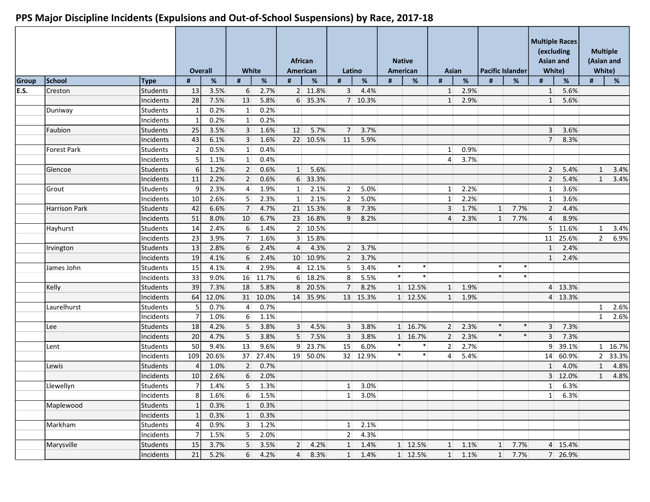|       |                      |                 | <b>Overall</b>  |       | White            |          |                  | <b>African</b><br>American | Latino          |                 |        | <b>Native</b><br>American | Asian           |                 |                 | Pacific Islander | <b>Multiple Races</b><br>(excluding<br>Asian and<br>White) |         |                | <b>Multiple</b><br>(Asian and<br>White) |
|-------|----------------------|-----------------|-----------------|-------|------------------|----------|------------------|----------------------------|-----------------|-----------------|--------|---------------------------|-----------------|-----------------|-----------------|------------------|------------------------------------------------------------|---------|----------------|-----------------------------------------|
| Group | School               | <b>Type</b>     | #               | $\%$  | #                | $\%$     | #                | %                          | #               | $\%$            | #      | %                         | #               | $\%$            | #               | %                | #                                                          | %       | #              | %                                       |
| E.S.  | Creston              | Students        | 13              | 3.5%  | $6 \mid$         | 2.7%     |                  | 2 11.8%                    | $\overline{3}$  | 4.4%            |        |                           | $1\overline{ }$ | 2.9%            |                 |                  | $1\vert$                                                   | 5.6%    |                |                                         |
|       |                      | Incidents       | 28              | 7.5%  | 13               | 5.8%     | 6 <sup>1</sup>   | 35.3%                      |                 | 7 10.3%         |        |                           | $\mathbf{1}$    | 2.9%            |                 |                  | 1                                                          | 5.6%    |                |                                         |
|       | Duniway              | Students        | $\mathbf{1}$    | 0.2%  | 1                | 0.2%     |                  |                            |                 |                 |        |                           |                 |                 |                 |                  |                                                            |         |                |                                         |
|       |                      | Incidents       | $\mathbf 1$     | 0.2%  | 1                | 0.2%     |                  |                            |                 |                 |        |                           |                 |                 |                 |                  |                                                            |         |                |                                         |
|       | Faubion              | <b>Students</b> | 25              | 3.5%  | 3 <sup>1</sup>   | 1.6%     | 12               | 5.7%                       | $\overline{7}$  | 3.7%            |        |                           |                 |                 |                 |                  | $\overline{3}$                                             | 3.6%    |                |                                         |
|       |                      | Incidents       | 43              | 6.1%  | 3 <sup>1</sup>   | 1.6%     |                  | 22 10.5%                   | 11              | 5.9%            |        |                           |                 |                 |                 |                  | 7                                                          | 8.3%    |                |                                         |
|       | <b>Forest Park</b>   | Students        |                 | 0.5%  | $1\vert$         | 0.4%     |                  |                            |                 |                 |        |                           | $1\overline{ }$ | 0.9%            |                 |                  |                                                            |         |                |                                         |
|       |                      | Incidents       | 5               | 1.1%  | $1\vert$         | 0.4%     |                  |                            |                 |                 |        |                           | $\overline{4}$  | 3.7%            |                 |                  |                                                            |         |                |                                         |
|       | Glencoe              | Students        | $6 \mid$        | 1.2%  | 2 <sup>1</sup>   | 0.6%     | $1\vert$         | 5.6%                       |                 |                 |        |                           |                 |                 |                 |                  | $\overline{2}$                                             | 5.4%    | $\mathbf{1}$   | 3.4%                                    |
|       |                      | Incidents       | 11              | 2.2%  | 2 <sup>1</sup>   | 0.6%     | $6 \overline{6}$ | 33.3%                      |                 |                 |        |                           |                 |                 |                 |                  | $\overline{2}$                                             | 5.4%    | $\mathbf{1}$   | 3.4%                                    |
|       | Grout                | Students        | $\overline{9}$  | 2.3%  | $\overline{4}$   | 1.9%     | $\vert$ 1        | 2.1%                       | $\overline{2}$  | 5.0%            |        |                           | $1\overline{ }$ | 2.2%            |                 |                  | $1\vert$                                                   | 3.6%    |                |                                         |
|       |                      | Incidents       | 10              | 2.6%  | 5 <sup>1</sup>   | 2.3%     | $\vert$ 1        | 2.1%                       | $\overline{2}$  | 5.0%            |        |                           | $1\overline{ }$ | 2.2%            |                 |                  | $1\vert$                                                   | 3.6%    |                |                                         |
|       | <b>Harrison Park</b> | <b>Students</b> | 42              | 6.6%  | $\overline{7}$   | 4.7%     |                  | 21 15.3%                   | 8               | 7.3%            |        |                           | 3               | 1.7%            | 1               | 7.7%             | 2 <sup>1</sup>                                             | 4.4%    |                |                                         |
|       |                      | Incidents       | 51              | 8.0%  | 10               | 6.7%     | 23               | 16.8%                      | 9               | 8.2%            |        |                           | 4               | 2.3%            | $1\overline{ }$ | 7.7%             | $\overline{4}$                                             | 8.9%    |                |                                         |
|       | Hayhurst             | Students        | 14              | 2.4%  | $6 \mid$         | 1.4%     |                  | 2 10.5%                    |                 |                 |        |                           |                 |                 |                 |                  | 5 <sup>1</sup>                                             | 11.6%   | $\mathbf{1}$   | 3.4%                                    |
|       |                      | Incidents       | 23              | 3.9%  | 7 <sup>1</sup>   | 1.6%     |                  | 3 15.8%                    |                 |                 |        |                           |                 |                 |                 |                  | 11                                                         | 25.6%   | $\overline{2}$ | 6.9%                                    |
|       | Irvington            | <b>Students</b> | 13              | 2.8%  | $6 \overline{6}$ | 2.4%     | $\overline{4}$   | 4.3%                       | $\overline{2}$  | 3.7%            |        |                           |                 |                 |                 |                  | 1                                                          | 2.4%    |                |                                         |
|       |                      | Incidents       | 19              | 4.1%  | $6 \mid$         | 2.4%     | 10 <sup>1</sup>  | 10.9%                      | 2               | 3.7%            |        |                           |                 |                 |                 |                  | 1                                                          | 2.4%    |                |                                         |
|       | James John           | Students        | 15              | 4.1%  | $\vert$          | 2.9%     | $\overline{4}$   | 12.1%                      | 5 <sup>1</sup>  | 3.4%            | $\ast$ | $\ast$                    |                 |                 | $\ast$          | $\ast$           |                                                            |         |                |                                         |
|       |                      | Incidents       | 33              | 9.0%  | 16               | 11.7%    | 6 <sup>1</sup>   | 18.2%                      | 8               | 5.5%            | $\ast$ | $\ast$                    |                 |                 | $\ast$          | $\ast$           |                                                            |         |                |                                         |
|       | Kelly                | <b>Students</b> | 39              | 7.3%  | 18               | 5.8%     | 8 <sup>1</sup>   | 20.5%                      | $\overline{7}$  | 8.2%            |        | 1 12.5%                   | $1\overline{ }$ | 1.9%            |                 |                  |                                                            | 4 13.3% |                |                                         |
|       |                      | Incidents       | 64              | 12.0% | 31               | 10.0%    | 14               | 35.9%                      |                 | 13 15.3%        |        | 1 12.5%                   | $1\vert$        | 1.9%            |                 |                  |                                                            | 4 13.3% |                |                                         |
|       | Laurelhurst          | Students        | 5               | 0.7%  | $\overline{4}$   | 0.7%     |                  |                            |                 |                 |        |                           |                 |                 |                 |                  |                                                            |         | $\mathbf{1}$   | 2.6%                                    |
|       |                      | Incidents       | $\overline{7}$  | 1.0%  | $6 \mid$         | 1.1%     |                  |                            |                 |                 |        |                           |                 |                 |                 |                  |                                                            |         | $\mathbf{1}$   | 2.6%                                    |
|       | Lee                  | Students        | 18              | 4.2%  | $5\overline{)}$  | 3.8%     | $\overline{3}$   | 4.5%                       | 3               | 3.8%            |        | 1 16.7%                   | 2 <sup>1</sup>  | 2.3%            | $\ast$          | $\ast$           | $\overline{3}$                                             | 7.3%    |                |                                         |
|       |                      | Incidents       | 20              | 4.7%  | 5                | 3.8%     | 5                | 7.5%                       | 3               | 3.8%            |        | 1 16.7%                   | $\overline{2}$  | 2.3%            | $\ast$          | $\ast$           | $\overline{3}$                                             | 7.3%    |                |                                         |
|       | Lent                 | Students        | 50              | 9.4%  | 13               | 9.6%     | 9 <sup>1</sup>   | 23.7%                      | 15              | 6.0%            | $\ast$ | $\ast$                    | 2 <sup>1</sup>  | 2.7%            |                 |                  | 9 <sup>1</sup>                                             | 39.1%   |                | 16.7%<br>$\mathbf{1}$                   |
|       |                      | Incidents       | 109             | 20.6% | 37               | 27.4%    | 19               | 50.0%                      |                 | 32 12.9%        | $\ast$ | $\ast$                    | $\overline{4}$  | 5.4%            |                 |                  | 14                                                         | 60.9%   |                | $\overline{2}$<br>33.3%                 |
|       | Lewis                | <b>Students</b> | 4               | 1.0%  | 2 <sup>1</sup>   | 0.7%     |                  |                            |                 |                 |        |                           |                 |                 |                 |                  | $1\overline{ }$                                            | 4.0%    | $\mathbf{1}$   | 4.8%                                    |
|       |                      | Incidents       | 10 <sup>1</sup> | 2.6%  | $6 \mid$         | 2.0%     |                  |                            |                 |                 |        |                           |                 |                 |                 |                  |                                                            | 3 12.0% | 1              | 4.8%                                    |
|       | Llewellyn            | lStudents       | $\overline{7}$  | 1.4%  | 5 <sup>2</sup>   | 1.3%     |                  |                            | $1\vert$        | 3.0%            |        |                           |                 |                 |                 |                  | $1\vert$                                                   | 6.3%    |                |                                         |
|       |                      | Incidents       | 8               | 1.6%  |                  | $6$ 1.5% |                  |                            |                 | $1 \quad 3.0\%$ |        |                           |                 |                 |                 |                  | 1                                                          | 6.3%    |                |                                         |
|       | Maplewood            | Students        | $\mathbf{1}$    | 0.3%  | $1\vert$         | 0.3%     |                  |                            |                 |                 |        |                           |                 |                 |                 |                  |                                                            |         |                |                                         |
|       |                      | Incidents       |                 | 0.3%  | 1                | 0.3%     |                  |                            |                 |                 |        |                           |                 |                 |                 |                  |                                                            |         |                |                                         |
|       | Markham              | Students        | 4               | 0.9%  | 3 <sup>1</sup>   | 1.2%     |                  |                            | $1\vert$        | 2.1%            |        |                           |                 |                 |                 |                  |                                                            |         |                |                                         |
|       |                      | Incidents       | 7               | 1.5%  | 5 <sup>1</sup>   | 2.0%     |                  |                            | 2 <sup>1</sup>  | 4.3%            |        |                           |                 |                 |                 |                  |                                                            |         |                |                                         |
|       | Marysville           | Students        | 15              | 3.7%  | 5 <sup>1</sup>   | 3.5%     | $\overline{2}$   | 4.2%                       | $1\overline{ }$ | 1.4%            |        | 1 12.5%                   |                 | $1 \quad 1.1\%$ |                 | 7.7%<br>1        |                                                            | 4 15.4% |                |                                         |
|       |                      | Incidents       | 21              | 5.2%  | $6 \overline{6}$ | 4.2%     | $\overline{4}$   | 8.3%                       |                 | $1 \quad 1.4\%$ |        | 1 12.5%                   |                 | $1 \quad 1.1\%$ |                 | 1 7.7%           |                                                            | 7 26.9% |                |                                         |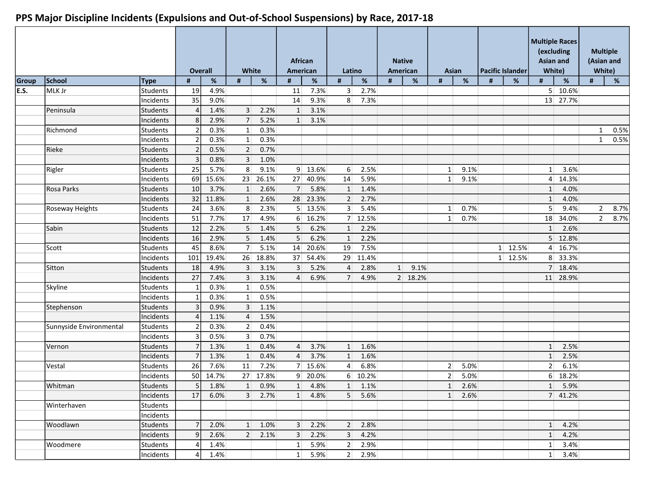|       |                         |                 |                          | <b>Overall</b> | White           |                 | American       | African         |                 | Latino         |                 | <b>Native</b><br>American | Asian           |                 |   | Pacific Islander | (excluding<br><b>Asian and</b><br>White) | <b>Multiple Races</b> |                | <b>Multiple</b><br>(Asian and<br>White) |
|-------|-------------------------|-----------------|--------------------------|----------------|-----------------|-----------------|----------------|-----------------|-----------------|----------------|-----------------|---------------------------|-----------------|-----------------|---|------------------|------------------------------------------|-----------------------|----------------|-----------------------------------------|
| Group | School                  | Type            | #                        | $\%$           | #               | $\%$            | #              | %               | #               | $\%$           | #               | %                         | #               | $\%$            | # | %                | #                                        | %                     | #              | %                                       |
| E.S.  | MLK Jr                  | <b>Students</b> | 19                       | 4.9%           |                 |                 | 11             | 7.3%            | 3               | 2.7%           |                 |                           |                 |                 |   |                  |                                          | 5 10.6%               |                |                                         |
|       |                         | Incidents       | 35                       | 9.0%           |                 |                 | 14             | 9.3%            | 8               | 7.3%           |                 |                           |                 |                 |   |                  |                                          | 13 27.7%              |                |                                         |
|       | Peninsula               | Students        | $\vert$                  | 1.4%           | $\overline{3}$  | 2.2%            | 1              | 3.1%            |                 |                |                 |                           |                 |                 |   |                  |                                          |                       |                |                                         |
|       |                         | Incidents       | 8 <sup>1</sup>           | 2.9%           | 7               | 5.2%            | $\mathbf{1}$   | 3.1%            |                 |                |                 |                           |                 |                 |   |                  |                                          |                       |                |                                         |
|       | Richmond                | Students        | $\overline{2}$           | 0.3%           | $1\vert$        | 0.3%            |                |                 |                 |                |                 |                           |                 |                 |   |                  |                                          |                       | $\mathbf{1}$   | 0.5%                                    |
|       |                         | Incidents       | $\overline{\mathcal{L}}$ | 0.3%           | $1\vert$        | 0.3%            |                |                 |                 |                |                 |                           |                 |                 |   |                  |                                          |                       | 1              | 0.5%                                    |
|       | Rieke                   | Students        | $\overline{\mathcal{L}}$ | 0.5%           | $\overline{2}$  | 0.7%            |                |                 |                 |                |                 |                           |                 |                 |   |                  |                                          |                       |                |                                         |
|       |                         | Incidents       | $\overline{3}$           | 0.8%           | $\overline{3}$  | 1.0%            |                |                 |                 |                |                 |                           |                 |                 |   |                  |                                          |                       |                |                                         |
|       | Rigler                  | <b>Students</b> | 25                       | 5.7%           | 8               | 9.1%            |                | 9 13.6%         | 6               | 2.5%           |                 |                           | $\mathbf{1}$    | 9.1%            |   |                  | $1\vert$                                 | 3.6%                  |                |                                         |
|       |                         | Incidents       | 69                       | 15.6%          | 23              | 26.1%           | 27             | 40.9%           | 14              | 5.9%           |                 |                           | $1\vert$        | 9.1%            |   |                  | $\overline{4}$                           | 14.3%                 |                |                                         |
|       | Rosa Parks              | <b>Students</b> | 10 <sup>1</sup>          | 3.7%           | $\mathbf{1}$    | 2.6%            | 7 <sup>1</sup> | 5.8%            | $\mathbf{1}$    | 1.4%           |                 |                           |                 |                 |   |                  | $1\vert$                                 | 4.0%                  |                |                                         |
|       |                         | Incidents       | 32                       | 11.8%          | $1\vert$        | 2.6%            |                | 28 23.3%        | $\overline{2}$  | 2.7%           |                 |                           |                 |                 |   |                  | $1\vert$                                 | 4.0%                  |                |                                         |
|       | Roseway Heights         | Students        | 24                       | 3.6%           | 8 <sup>1</sup>  | 2.3%            |                | $5 \mid 13.5\%$ | 3 <sup>1</sup>  | 5.4%           |                 |                           | $1\vert$        | 0.7%            |   |                  | 5 <sup>2</sup>                           | 9.4%                  | $\overline{2}$ | 8.7%                                    |
|       |                         | Incidents       | 51                       | 7.7%           | 17              | 4.9%            | 6 <sup>1</sup> | 16.2%           |                 | 7 12.5%        |                 |                           | $1\vert$        | 0.7%            |   |                  | 18                                       | 34.0%                 | $\overline{2}$ | 8.7%                                    |
|       | Sabin                   | Students        | 12                       | 2.2%           | 5 <sup>1</sup>  | 1.4%            | 5              | 6.2%            | $1\overline{ }$ | 2.2%           |                 |                           |                 |                 |   |                  | $1\overline{ }$                          | 2.6%                  |                |                                         |
|       |                         | Incidents       | 16                       | 2.9%           | 5 <sup>1</sup>  | 1.4%            | 5              | 6.2%            | $\mathbf{1}$    | 2.2%           |                 |                           |                 |                 |   |                  |                                          | 5 12.8%               |                |                                         |
|       | Scott                   | <b>Students</b> | 45                       | 8.6%           | 7               | 5.1%            | 14             | 20.6%           | 19              | 7.5%           |                 |                           |                 |                 |   | 1 12.5%          | $\vert$                                  | 16.7%                 |                |                                         |
|       |                         | Incidents       | 101                      | 19.4%          | 26              | 18.8%           | 37             | 54.4%           | 29              | 11.4%          |                 |                           |                 |                 |   | 1 12.5%          |                                          | 8 33.3%               |                |                                         |
|       | Sitton                  | Students        | 18                       | 4.9%           | $\overline{3}$  | 3.1%            | 3              | 5.2%            | $\overline{4}$  | 2.8%           | $1\overline{ }$ | 9.1%                      |                 |                 |   |                  |                                          | 7 18.4%               |                |                                         |
|       |                         | Incidents       | 27                       | 7.4%           | $\overline{3}$  | 3.1%            | 4              | 6.9%            | 7 <sup>1</sup>  | 4.9%           |                 | 2 18.2%                   |                 |                 |   |                  |                                          | 11 28.9%              |                |                                         |
|       | Skyline                 | Students        |                          | 0.3%           | $1\vert$        | 0.5%            |                |                 |                 |                |                 |                           |                 |                 |   |                  |                                          |                       |                |                                         |
|       |                         | Incidents       |                          | 0.3%           | $1\vert$        | 0.5%            |                |                 |                 |                |                 |                           |                 |                 |   |                  |                                          |                       |                |                                         |
|       | Stephenson              | Students        | $\overline{3}$           | 0.9%           | $\overline{3}$  | 1.1%            |                |                 |                 |                |                 |                           |                 |                 |   |                  |                                          |                       |                |                                         |
|       |                         | Incidents       |                          | 1.1%           | $\overline{4}$  | 1.5%            |                |                 |                 |                |                 |                           |                 |                 |   |                  |                                          |                       |                |                                         |
|       | Sunnyside Environmental | Students        | $\overline{\mathcal{L}}$ | 0.3%           | $\overline{2}$  | 0.4%            |                |                 |                 |                |                 |                           |                 |                 |   |                  |                                          |                       |                |                                         |
|       |                         | Incidents       | $\overline{3}$           | 0.5%           | $\overline{3}$  | 0.7%            |                |                 |                 |                |                 |                           |                 |                 |   |                  |                                          |                       |                |                                         |
|       | Vernon                  | Students        |                          | 1.3%           | $1\overline{ }$ | 0.4%            | $\overline{4}$ | 3.7%            | $1\overline{ }$ | 1.6%           |                 |                           |                 |                 |   |                  | 1                                        | 2.5%                  |                |                                         |
|       |                         | Incidents       |                          | 1.3%           | $1\vert$        | 0.4%            | $\overline{4}$ | 3.7%            | $\mathbf{1}$    | 1.6%           |                 |                           |                 |                 |   |                  | 1                                        | 2.5%                  |                |                                         |
|       | Vestal                  | Students        | 26                       | 7.6%           | 11              | 7.2%            | 7 <sup>1</sup> | 15.6%           | $\vert$         | 6.8%           |                 |                           | 2 <sup>1</sup>  | 5.0%            |   |                  | 2 <sup>2</sup>                           | 6.1%                  |                |                                         |
|       |                         | Incidents       | 50                       | 14.7%          | 27              | 17.8%           |                | $9$ 20.0%       |                 | 6 10.2%        |                 |                           | 2 <sup>1</sup>  | 5.0%            |   |                  | $6 \mid$                                 | 18.2%                 |                |                                         |
|       | Whitman                 | <b>Students</b> | 5 <sub>l</sub>           | 1.8%           | 1               | 0.9%            | $1\vert$       | 4.8%            | $1\vert$        | 1.1%           |                 |                           | $1\overline{ }$ | 2.6%            |   |                  | $1\vert$                                 | 5.9%                  |                |                                         |
|       |                         | Incidents       | 17                       | 6.0%           |                 | $3\ 2.7\%$      |                | 1 4.8%          | 5               | 5.6%           |                 |                           |                 | $1 \quad 2.6\%$ |   |                  |                                          | 7 41.2%               |                |                                         |
|       | Winterhaven             | Students        |                          |                |                 |                 |                |                 |                 |                |                 |                           |                 |                 |   |                  |                                          |                       |                |                                         |
|       |                         | Incidents       |                          |                |                 |                 |                |                 |                 |                |                 |                           |                 |                 |   |                  |                                          |                       |                |                                         |
|       | Woodlawn                | Students        | 7 <sup>1</sup>           | 2.0%           |                 | 1 1.0%          |                | $3\ 2.2\%$      |                 | 2 2.8%         |                 |                           |                 |                 |   |                  |                                          | $1 \quad 4.2\%$       |                |                                         |
|       |                         | Incidents       | 9 <sup>1</sup>           | 2.6%           |                 | $2 \quad 2.1\%$ |                | $3\ 2.2\%$      | 3               | 4.2%           |                 |                           |                 |                 |   |                  |                                          | $1 \quad 4.2\%$       |                |                                         |
|       | Woodmere                | Students        | 41                       | 1.4%           |                 |                 | $1\vert$       | 5.9%            | 2 <sup>1</sup>  | 2.9%           |                 |                           |                 |                 |   |                  |                                          | $1 \quad 3.4\%$       |                |                                         |
|       |                         | Incidents       | $\Delta$                 | 1.4%           |                 |                 |                | 1 5.9%          |                 | $2 \mid 2.9\%$ |                 |                           |                 |                 |   |                  |                                          | $1 \mid 3.4\%$        |                |                                         |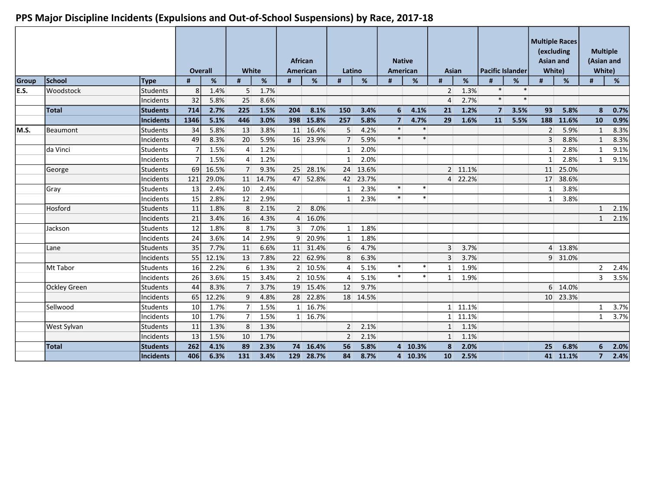|       |                     |                 |                 | <b>Overall</b> | White            |          | African<br>American |                 | Latino         |          | <b>Native</b><br><b>American</b> |         | <b>Asian</b>    |                  | <b>Pacific Islander</b> |        | (excluding<br><b>Asian and</b><br>White) | <b>Multiple Races</b> | <b>Multiple</b><br>(Asian and<br>White) |      |
|-------|---------------------|-----------------|-----------------|----------------|------------------|----------|---------------------|-----------------|----------------|----------|----------------------------------|---------|-----------------|------------------|-------------------------|--------|------------------------------------------|-----------------------|-----------------------------------------|------|
| Group | School              | <b>Type</b>     | #               | %              | #                | %        | #                   | %               | #              | %        | #                                | %       | #               | %                |                         | %      | #                                        | %                     | #                                       | %    |
| E.S.  | <b>Woodstock</b>    | <b>Students</b> | 8 <sup>1</sup>  | 1.4%           | 5 <sup>1</sup>   | 1.7%     |                     |                 |                |          |                                  |         | $\overline{2}$  | 1.3%             | $\ast$                  | $\ast$ |                                          |                       |                                         |      |
|       |                     | Incidents       | 32              | 5.8%           | 25               | 8.6%     |                     |                 |                |          |                                  |         | $\overline{4}$  | 2.7%             | $\ast$                  | $\ast$ |                                          |                       |                                         |      |
|       | <b>Total</b>        | Students        | 714             | 2.7%           | 225              | 1.5%     | 204                 | 8.1%            | 150            | 3.4%     | 6                                | 4.1%    | 21              | 1.2%             | 7 <sup>1</sup>          | 3.5%   | 93                                       | 5.8%                  | 8                                       | 0.7% |
|       |                     | Incidents       | 1346            | 5.1%           | 446              | 3.0%     | 398                 | 15.8%           | 257            | 5.8%     | $\overline{7}$                   | 4.7%    | 29              | 1.6%             | 11                      | 5.5%   |                                          | 188 11.6%             | 10                                      | 0.9% |
| lm.s. | Beaumont            | <b>Students</b> | 34              | 5.8%           | 13               | 3.8%     |                     | 11 16.4%        | 5              | 4.2%     | $\ast$                           | $\ast$  |                 |                  |                         |        | 2 <sup>1</sup>                           | 5.9%                  | $\mathbf{1}$                            | 8.3% |
|       |                     | Incidents       | 49              | 8.3%           | 20               | 5.9%     |                     | 16 23.9%        | $\overline{7}$ | 5.9%     | $\ast$                           | $\ast$  |                 |                  |                         |        | $\overline{3}$                           | 8.8%                  | $\mathbf{1}$                            | 8.3% |
|       | da Vinci            | Students        |                 | 1.5%           | $\vert$          | 1.2%     |                     |                 | $1\vert$       | 2.0%     |                                  |         |                 |                  |                         |        | $1\vert$                                 | 2.8%                  | $\mathbf{1}$                            | 9.1% |
|       |                     | Incidents       |                 | 1.5%           | $\overline{4}$   | 1.2%     |                     |                 | $1\vert$       | 2.0%     |                                  |         |                 |                  |                         |        | $1\vert$                                 | 2.8%                  | $\mathbf{1}$                            | 9.1% |
|       | George              | Students        | 69              | 16.5%          | 7                | 9.3%     |                     | 25 28.1%        | 24             | 13.6%    |                                  |         |                 | 2 11.1%          |                         |        |                                          | 11 25.0%              |                                         |      |
|       |                     | Incidents       | 121             | 29.0%          |                  | 11 14.7% |                     | 47 52.8%        |                | 42 23.7% |                                  |         |                 | 4 22.2%          |                         |        |                                          | 17 38.6%              |                                         |      |
|       | Gray                | <b>Students</b> | 13              | 2.4%           | 10 <sup>1</sup>  | 2.4%     |                     |                 | $1\vert$       | 2.3%     | $\ast$                           | $\ast$  |                 |                  |                         |        | $1\vert$                                 | 3.8%                  |                                         |      |
|       |                     | Incidents       | 15              | 2.8%           | 12               | 2.9%     |                     |                 | 1 <sup>1</sup> | 2.3%     | $\ast$                           | $\ast$  |                 |                  |                         |        | 1                                        | 3.8%                  |                                         |      |
|       | Hosford             | Students        | 11              | 1.8%           | 8                | 2.1%     | 2 <sup>1</sup>      | 8.0%            |                |          |                                  |         |                 |                  |                         |        |                                          |                       | $\mathbf{1}$                            | 2.1% |
|       |                     | Incidents       | 21              | 3.4%           | 16               | 4.3%     | $\overline{4}$      | 16.0%           |                |          |                                  |         |                 |                  |                         |        |                                          |                       | 1                                       | 2.1% |
|       | Jackson             | Students        | 12              | 1.8%           | 8 <sup>1</sup>   | 1.7%     | 3 <sup>1</sup>      | 7.0%            | $1\vert$       | 1.8%     |                                  |         |                 |                  |                         |        |                                          |                       |                                         |      |
|       |                     | Incidents       | 24              | 3.6%           | 14               | 2.9%     |                     | 9 20.9%         | $\mathbf{1}$   | 1.8%     |                                  |         |                 |                  |                         |        |                                          |                       |                                         |      |
|       | Lane                | <b>Students</b> | 35              | 7.7%           | 11               | 6.6%     |                     | 11 31.4%        | 6              | 4.7%     |                                  |         | $\overline{3}$  | 3.7%             |                         |        |                                          | 4 13.8%               |                                         |      |
|       |                     | Incidents       | 55              | 12.1%          | 13               | 7.8%     |                     | 22 62.9%        | 8              | 6.3%     |                                  |         | 3               | 3.7%             |                         |        |                                          | 9 31.0%               |                                         |      |
|       | Mt Tabor            | Students        | 16 <sup>1</sup> | 2.2%           | $6 \overline{6}$ | 1.3%     |                     | 2 10.5%         | $\overline{4}$ | 5.1%     | $\ast$                           | $\ast$  | 1               | 1.9%             |                         |        |                                          |                       | $\overline{2}$                          | 2.4% |
|       |                     | Incidents       | 26              | 3.6%           | 15               | 3.4%     |                     | $2 \mid 10.5\%$ | $\overline{4}$ | 5.1%     | $\ast$                           | $\ast$  | $1\vert$        | 1.9%             |                         |        |                                          |                       | 3                                       | 3.5% |
|       | <b>Ockley Green</b> | Students        | 44              | 8.3%           | 7                | 3.7%     |                     | 19 15.4%        | 12             | 9.7%     |                                  |         |                 |                  |                         |        |                                          | 6 14.0%               |                                         |      |
|       |                     | Incidents       | 65              | 12.2%          | $\overline{9}$   | 4.8%     |                     | 28 22.8%        |                | 18 14.5% |                                  |         |                 |                  |                         |        |                                          | 10 23.3%              |                                         |      |
|       | Sellwood            | Students        | 10 <sup>1</sup> | 1.7%           | 7 <sup>1</sup>   | 1.5%     |                     | 1 16.7%         |                |          |                                  |         |                 | $1 \quad 11.1\%$ |                         |        |                                          |                       | $\mathbf{1}$                            | 3.7% |
|       |                     | lIncidents      | 10 <sup>1</sup> | 1.7%           | 7 <sup>1</sup>   | 1.5%     |                     | 1 16.7%         |                |          |                                  |         |                 | 1 11.1%          |                         |        |                                          |                       | 1                                       | 3.7% |
|       | West Sylvan         | Students        | 11              | 1.3%           | 8 <sup>°</sup>   | 1.3%     |                     |                 | $\overline{2}$ | 2.1%     |                                  |         | 1               | 1.1%             |                         |        |                                          |                       |                                         |      |
|       |                     | Incidents       | 13              | 1.5%           | 10               | 1.7%     |                     |                 | 2              | 2.1%     |                                  |         | $\mathbf{1}$    | 1.1%             |                         |        |                                          |                       |                                         |      |
|       | <b>Total</b>        | Students        | 262             | 4.1%           | 89               | 2.3%     |                     | 74 16.4%        | 56             | 5.8%     |                                  | 4 10.3% | 8               | 2.0%             |                         |        | 25                                       | 6.8%                  | 6                                       | 2.0% |
|       |                     | Incidents       | 406             | 6.3%           | 131              | 3.4%     |                     | 129 28.7%       | 84             | 8.7%     |                                  | 4 10.3% | 10 <sup>1</sup> | 2.5%             |                         |        |                                          | 41 11.1%              | $\overline{7}$                          | 2.4% |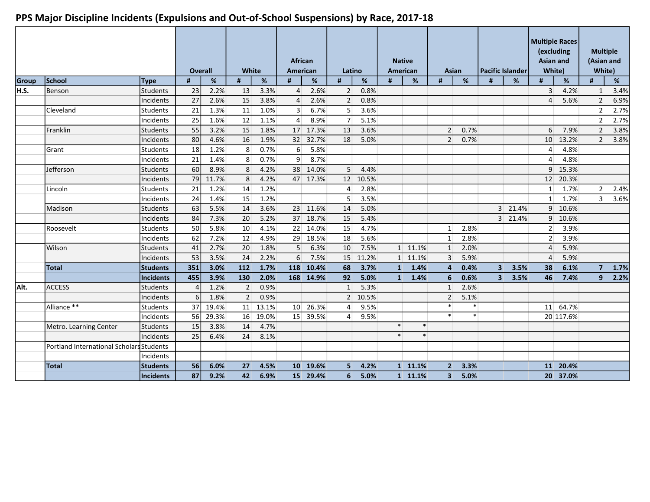|       |                                          |                  |          | <b>Overall</b> | White          |       | <b>African</b><br>American |           | Latino         |         |              | <b>Native</b><br>American | Asian          |        |                | <b>Pacific Islander</b> | (excluding<br><b>Asian and</b><br>White) | <b>Multiple Races</b> | <b>Multiple</b><br>(Asian and<br>White) |      |
|-------|------------------------------------------|------------------|----------|----------------|----------------|-------|----------------------------|-----------|----------------|---------|--------------|---------------------------|----------------|--------|----------------|-------------------------|------------------------------------------|-----------------------|-----------------------------------------|------|
| Group | School                                   | Type             | #        | %              | #              | %     | #                          | %         | #              | %       |              | %                         | #              | %      | #              | %                       | #                                        | %                     | #                                       | %    |
| H.S.  | Benson                                   | <b>Students</b>  | 23       | 2.2%           | 13             | 3.3%  | $\overline{4}$             | 2.6%      | 2 <sup>1</sup> | 0.8%    |              |                           |                |        |                |                         | $\overline{3}$                           | 4.2%                  | 1                                       | 3.4% |
|       |                                          | Incidents        | 27       | 2.6%           | 15             | 3.8%  | 4                          | 2.6%      | $\overline{2}$ | 0.8%    |              |                           |                |        |                |                         | $\overline{4}$                           | 5.6%                  | $\overline{2}$                          | 6.9% |
|       | Cleveland                                | Students         | 21       | 1.3%           | 11             | 1.0%  | $\overline{3}$             | 6.7%      | 5 <sup>1</sup> | 3.6%    |              |                           |                |        |                |                         |                                          |                       | $\overline{2}$                          | 2.7% |
|       |                                          | Incidents        | 25       | 1.6%           | 12             | 1.1%  | $\overline{4}$             | 8.9%      | 7              | 5.1%    |              |                           |                |        |                |                         |                                          |                       | $\overline{2}$                          | 2.7% |
|       | Franklin                                 | Students         | 55       | 3.2%           | 15             | 1.8%  | 17                         | 17.3%     | 13             | 3.6%    |              |                           | $\overline{2}$ | 0.7%   |                |                         | $6 \overline{6}$                         | 7.9%                  | $\overline{2}$                          | 3.8% |
|       |                                          | Incidents        | 80       | 4.6%           | 16             | 1.9%  | 32                         | 32.7%     | 18             | 5.0%    |              |                           | $\overline{2}$ | 0.7%   |                |                         | 10 <sup>1</sup>                          | 13.2%                 | $\overline{2}$                          | 3.8% |
|       | Grant                                    | Students         | 18       | 1.2%           | 8 <sup>°</sup> | 0.7%  | 6                          | 5.8%      |                |         |              |                           |                |        |                |                         | $\overline{4}$                           | 4.8%                  |                                         |      |
|       |                                          | Incidents        | 21       | 1.4%           | 8 <sup>1</sup> | 0.7%  | $\overline{9}$             | 8.7%      |                |         |              |                           |                |        |                |                         | $\vert 4 \vert$                          | 4.8%                  |                                         |      |
|       | Jefferson                                | Students         | 60       | 8.9%           | 8 <sup>°</sup> | 4.2%  | 38                         | 14.0%     | 5 <sup>1</sup> | 4.4%    |              |                           |                |        |                |                         |                                          | 9 15.3%               |                                         |      |
|       |                                          | Incidents        | 79       | 11.7%          | 8              | 4.2%  |                            | 47 17.3%  | 12             | 10.5%   |              |                           |                |        |                |                         |                                          | 12 20.3%              |                                         |      |
|       | Lincoln                                  | Students         | 21       | 1.2%           | 14             | 1.2%  |                            |           | $\overline{4}$ | 2.8%    |              |                           |                |        |                |                         | $1\vert$                                 | 1.7%                  | $\overline{2}$                          | 2.4% |
|       |                                          | Incidents        | 24       | 1.4%           | 15             | 1.2%  |                            |           | 5              | 3.5%    |              |                           |                |        |                |                         | $1\vert$                                 | 1.7%                  | 3                                       | 3.6% |
|       | Madison                                  | Students         | 63       | 5.5%           | 14             | 3.6%  |                            | 23 11.6%  | 14             | 5.0%    |              |                           |                |        |                | 3 21.4%                 |                                          | 9 10.6%               |                                         |      |
|       |                                          | Incidents        | 84       | 7.3%           | 20             | 5.2%  |                            | 37 18.7%  | 15             | 5.4%    |              |                           |                |        |                | 3 21.4%                 |                                          | 9 10.6%               |                                         |      |
|       | Roosevelt                                | <b>Students</b>  | 50       | 5.8%           | 10             | 4.1%  | 22                         | 14.0%     | 15             | 4.7%    |              |                           | $1\vert$       | 2.8%   |                |                         | 2 <sup>1</sup>                           | 3.9%                  |                                         |      |
|       |                                          | lIncidents       | 62       | 7.2%           | 12             | 4.9%  | 29                         | 18.5%     | 18             | 5.6%    |              |                           | 1              | 2.8%   |                |                         | 2 <sup>1</sup>                           | 3.9%                  |                                         |      |
|       | Wilson                                   | Students         | 41       | 2.7%           | 20             | 1.8%  | 5                          | 6.3%      | 10             | 7.5%    |              | 1 11.1%                   | $1\vert$       | 2.0%   |                |                         | $\overline{4}$                           | 5.9%                  |                                         |      |
|       |                                          | Incidents        | 53       | 3.5%           | 24             | 2.2%  | 6                          | 7.5%      | 15             | 11.2%   |              | 1 11.1%                   | $\overline{3}$ | 5.9%   |                |                         | $\overline{4}$                           | 5.9%                  |                                         |      |
|       | <b>Total</b>                             | Students         | 351      | 3.0%           | 112            | 1.7%  | 118                        | 10.4%     | 68             | 3.7%    | $\mathbf{1}$ | 1.4%                      | 4              | 0.4%   | 3 <sup>1</sup> | 3.5%                    | 38                                       | 6.1%                  | $\overline{7}$                          | 1.7% |
|       |                                          | <b>Incidents</b> | 455      | 3.9%           | 130            | 2.0%  |                            | 168 14.9% | 92             | 5.0%    | 1            | 1.4%                      | 6              | 0.6%   | 3 <sup>1</sup> | 3.5%                    | 46                                       | 7.4%                  | 9                                       | 2.2% |
| Alt.  | <b>ACCESS</b>                            | Students         |          | 1.2%           | $\overline{2}$ | 0.9%  |                            |           | 1              | 5.3%    |              |                           | 1              | 2.6%   |                |                         |                                          |                       |                                         |      |
|       |                                          | Incidents        | $6 \mid$ | 1.8%           | $\overline{2}$ | 0.9%  |                            |           |                | 2 10.5% |              |                           | 2 <sup>1</sup> | 5.1%   |                |                         |                                          |                       |                                         |      |
|       | Alliance **                              | Students         | 37       | 19.4%          | 11             | 13.1% |                            | 10 26.3%  | $\overline{4}$ | 9.5%    |              |                           | $\ast$         | $\ast$ |                |                         |                                          | 11 64.7%              |                                         |      |
|       |                                          | Incidents        | 56       | 29.3%          | 16             | 19.0% |                            | 15 39.5%  | 4              | 9.5%    |              |                           | $\ast$         | $\ast$ |                |                         |                                          | 20 117.6%             |                                         |      |
|       | Metro. Learning Center                   | <b>Students</b>  | 15       | 3.8%           | 14             | 4.7%  |                            |           |                |         | $\ast$       | $\ast$                    |                |        |                |                         |                                          |                       |                                         |      |
|       |                                          | Incidents        | 25       | 6.4%           | 24             | 8.1%  |                            |           |                |         | $\ast$       | $\ast$                    |                |        |                |                         |                                          |                       |                                         |      |
|       | Portland International Scholars Students |                  |          |                |                |       |                            |           |                |         |              |                           |                |        |                |                         |                                          |                       |                                         |      |
|       |                                          | Incidents        |          |                |                |       |                            |           |                |         |              |                           |                |        |                |                         |                                          |                       |                                         |      |
|       | <b>Total</b>                             | Students         | 56       | 6.0%           | 27             | 4.5%  |                            | 10 19.6%  | 5              | 4.2%    |              | 1 11.1%                   | 2 <sup>1</sup> | 3.3%   |                |                         |                                          | 11 20.4%              |                                         |      |
|       |                                          | Incidents        | 87       | 9.2%           | 42             | 6.9%  |                            | 15 29.4%  | 6              | 5.0%    |              | 1 11.1%                   | 3 <sup>1</sup> | 5.0%   |                |                         |                                          | 20 37.0%              |                                         |      |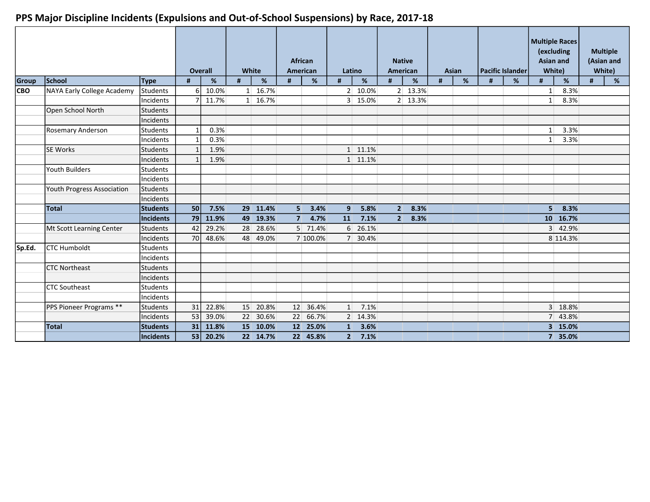|        |                            |                  | <b>Overall</b>  |       | White |          |                | <b>African</b><br>American | Latino       |          | <b>Native</b><br>American |         |   | <b>Asian</b> |   | Pacific Islander | <b>Asian and</b><br>White) | <b>Multiple Races</b><br>(excluding |   | <b>Multiple</b><br>(Asian and<br>White) |
|--------|----------------------------|------------------|-----------------|-------|-------|----------|----------------|----------------------------|--------------|----------|---------------------------|---------|---|--------------|---|------------------|----------------------------|-------------------------------------|---|-----------------------------------------|
| Group  | School                     | <b>Type</b>      | #               | %     | #     | %        | #              | %                          | #            | %        | #                         | %       | # | %            | # | %                | #                          | %                                   | # | %                                       |
| lCBO.  | NAYA Early College Academy | Students         | 6               | 10.0% |       | 1 16.7%  |                |                            |              | 2 10.0%  |                           | 2 13.3% |   |              |   |                  | $1\vert$                   | 8.3%                                |   |                                         |
|        |                            | Incidents        |                 | 11.7% |       | 1 16.7%  |                |                            |              | 3 15.0%  |                           | 2 13.3% |   |              |   |                  | $1\vert$                   | 8.3%                                |   |                                         |
|        | Open School North          | Students         |                 |       |       |          |                |                            |              |          |                           |         |   |              |   |                  |                            |                                     |   |                                         |
|        |                            | Incidents        |                 |       |       |          |                |                            |              |          |                           |         |   |              |   |                  |                            |                                     |   |                                         |
|        | Rosemary Anderson          | <b>Students</b>  |                 | 0.3%  |       |          |                |                            |              |          |                           |         |   |              |   |                  | $1\vert$                   | 3.3%                                |   |                                         |
|        |                            | Incidents        |                 | 0.3%  |       |          |                |                            |              |          |                           |         |   |              |   |                  | $1\vert$                   | 3.3%                                |   |                                         |
|        | <b>SE Works</b>            | Students         |                 | 1.9%  |       |          |                |                            |              | 1 11.1%  |                           |         |   |              |   |                  |                            |                                     |   |                                         |
|        |                            | <b>Incidents</b> |                 | 1.9%  |       |          |                |                            |              | 1 11.1%  |                           |         |   |              |   |                  |                            |                                     |   |                                         |
|        | Youth Builders             | Students         |                 |       |       |          |                |                            |              |          |                           |         |   |              |   |                  |                            |                                     |   |                                         |
|        |                            | Incidents        |                 |       |       |          |                |                            |              |          |                           |         |   |              |   |                  |                            |                                     |   |                                         |
|        | Youth Progress Association | lStudents        |                 |       |       |          |                |                            |              |          |                           |         |   |              |   |                  |                            |                                     |   |                                         |
|        |                            | Incidents        |                 |       |       |          |                |                            |              |          |                           |         |   |              |   |                  |                            |                                     |   |                                         |
|        | Total                      | <b>Students</b>  | 50 <sub>1</sub> | 7.5%  |       | 29 11.4% | 5 <sup>1</sup> | 3.4%                       | 9            | 5.8%     | 2 <sup>1</sup>            | 8.3%    |   |              |   |                  | 5 <sup>1</sup>             | 8.3%                                |   |                                         |
|        |                            | Incidents        | 79              | 11.9% |       | 49 19.3% | 7 <sup>1</sup> | 4.7%                       | 11           | 7.1%     | $2^{\vert}$               | 8.3%    |   |              |   |                  |                            | 10 16.7%                            |   |                                         |
|        | Mt Scott Learning Center   | Students         | 42              | 29.2% | 28    | 28.6%    |                | 5 71.4%                    |              | 6 26.1%  |                           |         |   |              |   |                  |                            | 3 42.9%                             |   |                                         |
|        |                            | Incidents        | 70              | 48.6% |       | 48 49.0% |                | 7 100.0%                   |              | 7 30.4%  |                           |         |   |              |   |                  |                            | 8 114.3%                            |   |                                         |
| Sp.Ed. | <b>CTC Humboldt</b>        | Students         |                 |       |       |          |                |                            |              |          |                           |         |   |              |   |                  |                            |                                     |   |                                         |
|        |                            | Incidents        |                 |       |       |          |                |                            |              |          |                           |         |   |              |   |                  |                            |                                     |   |                                         |
|        | <b>CTC Northeast</b>       | Students         |                 |       |       |          |                |                            |              |          |                           |         |   |              |   |                  |                            |                                     |   |                                         |
|        |                            | Incidents        |                 |       |       |          |                |                            |              |          |                           |         |   |              |   |                  |                            |                                     |   |                                         |
|        | <b>ICTC Southeast</b>      | Students         |                 |       |       |          |                |                            |              |          |                           |         |   |              |   |                  |                            |                                     |   |                                         |
|        |                            | Incidents        |                 |       |       |          |                |                            |              |          |                           |         |   |              |   |                  |                            |                                     |   |                                         |
|        | PPS Pioneer Programs **    | Students         | 31              | 22.8% | 15    | 20.8%    |                | 12 36.4%                   | $1\vert$     | 7.1%     |                           |         |   |              |   |                  |                            | 3 18.8%                             |   |                                         |
|        |                            | Incidents        | 53              | 39.0% | 22    | 30.6%    | 22             | 66.7%                      |              | 2 14.3%  |                           |         |   |              |   |                  |                            | 7 43.8%                             |   |                                         |
|        | Total                      | <b>Students</b>  | 31              | 11.8% |       | 15 10.0% |                | 12 25.0%                   | $\mathbf{1}$ | 3.6%     |                           |         |   |              |   |                  |                            | 3 15.0%                             |   |                                         |
|        |                            | Incidents        | 53              | 20.2% |       | 22 14.7% |                | 22 45.8%                   |              | $2$ 7.1% |                           |         |   |              |   |                  |                            | 7 35.0%                             |   |                                         |